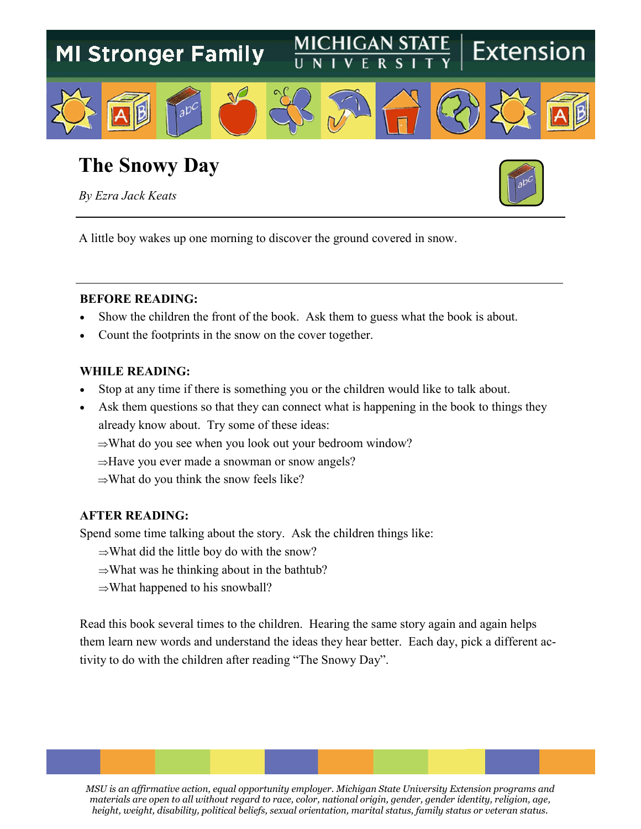

## **The Snowy Day**

*By Ezra Jack Keats*



A little boy wakes up one morning to discover the ground covered in snow.

#### **BEFORE READING:**

- Show the children the front of the book. Ask them to guess what the book is about.
- Count the footprints in the snow on the cover together.

#### **WHILE READING:**

- Stop at any time if there is something you or the children would like to talk about.
- Ask them questions so that they can connect what is happening in the book to things they already know about. Try some of these ideas:
	- $\Rightarrow$ What do you see when you look out your bedroom window?
	- $\Rightarrow$ Have you ever made a snowman or snow angels?
	- $\Rightarrow$ What do you think the snow feels like?

#### **AFTER READING:**

Spend some time talking about the story. Ask the children things like:

- $\Rightarrow$ What did the little boy do with the snow?
- $\Rightarrow$ What was he thinking about in the bathtub?
- $\Rightarrow$ What happened to his snowball?

Read this book several times to the children. Hearing the same story again and again helps them learn new words and understand the ideas they hear better. Each day, pick a different activity to do with the children after reading "The Snowy Day".

*MSU is an affirmative action, equal opportunity employer. Michigan State University Extension programs and materials are open to all without regard to race, color, national origin, gender, gender identity, religion, age, height, weight, disability, political beliefs, sexual orientation, marital status, family status or veteran status.*